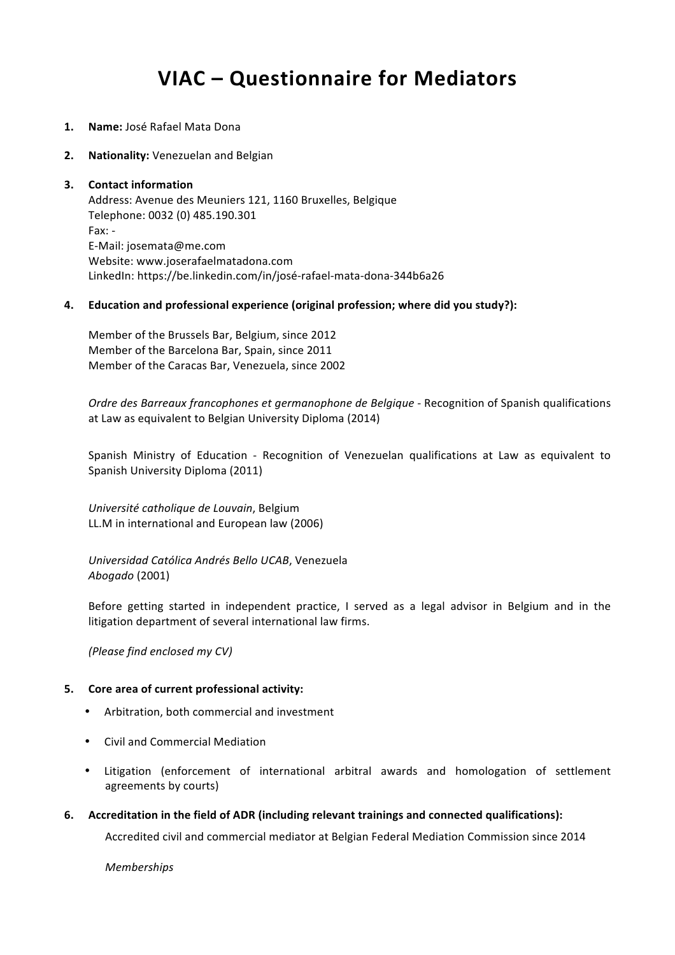# **VIAC – Questionnaire for Mediators**

- 1. **Name:** José Rafael Mata Dona
- **2. Nationality:** Venezuelan and Belgian

#### **3.** Contact information

Address: Avenue des Meuniers 121, 1160 Bruxelles, Belgique Telephone: 0032 (0) 485.190.301 Fax: - E-Mail: josemata@me.com Website: www.joserafaelmatadona.com LinkedIn: https://be.linkedin.com/in/josé-rafael-mata-dona-344b6a26

#### **4. Education and professional experience (original profession; where did you study?):**

Member of the Brussels Bar, Belgium, since 2012 Member of the Barcelona Bar, Spain, since 2011 Member of the Caracas Bar, Venezuela, since 2002

*Ordre des Barreaux francophones et germanophone de Belgique* - Recognition of Spanish qualifications at Law as equivalent to Belgian University Diploma (2014)

Spanish Ministry of Education - Recognition of Venezuelan qualifications at Law as equivalent to Spanish University Diploma (2011)

*Université catholique de Louvain*, Belgium LL.M in international and European law (2006)

*Universidad Católica Andrés Bello UCAB*, Venezuela *Abogado* (2001)

Before getting started in independent practice, I served as a legal advisor in Belgium and in the litigation department of several international law firms.

*(Please find enclosed my CV)*

# **5.** Core area of current professional activity:

- Arbitration, both commercial and investment
- Civil and Commercial Mediation
- Litigation (enforcement of international arbitral awards and homologation of settlement agreements by courts)
- **6.** Accreditation in the field of ADR (including relevant trainings and connected qualifications):

Accredited civil and commercial mediator at Belgian Federal Mediation Commission since 2014

*Memberships*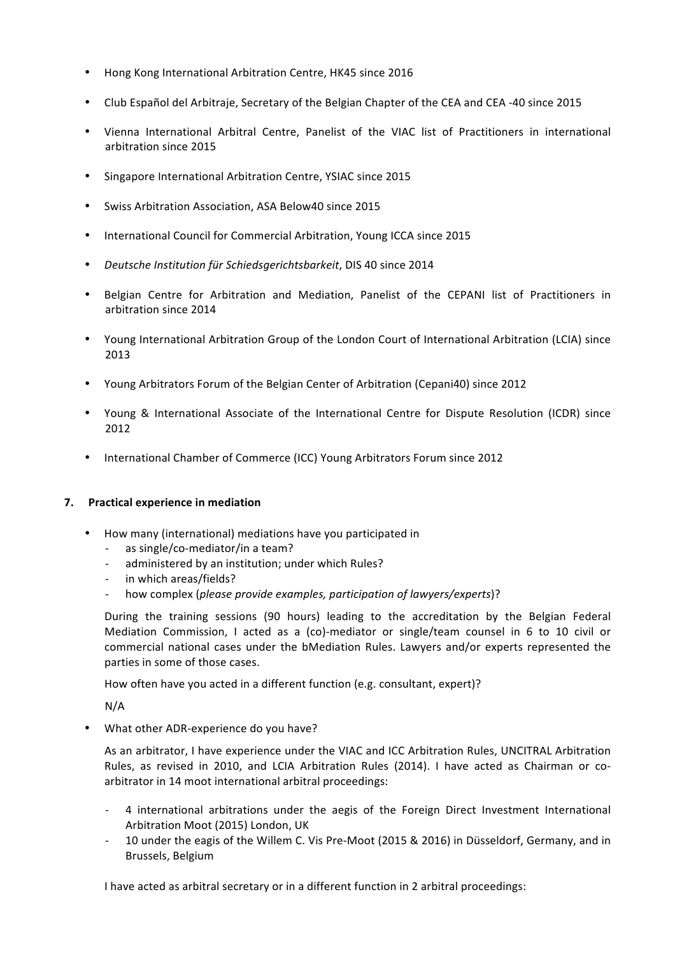- Hong Kong International Arbitration Centre, HK45 since 2016
- Club Español del Arbitraje, Secretary of the Belgian Chapter of the CEA and CEA -40 since 2015
- Vienna International Arbitral Centre, Panelist of the VIAC list of Practitioners in international arbitration since 2015
- Singapore International Arbitration Centre, YSIAC since 2015
- Swiss Arbitration Association, ASA Below40 since 2015
- International Council for Commercial Arbitration, Young ICCA since 2015
- Deutsche Institution für Schiedsgerichtsbarkeit, DIS 40 since 2014
- Belgian Centre for Arbitration and Mediation, Panelist of the CEPANI list of Practitioners in arbitration since 2014
- Young International Arbitration Group of the London Court of International Arbitration (LCIA) since 2013
- Young Arbitrators Forum of the Belgian Center of Arbitration (Cepani40) since 2012
- Young & International Associate of the International Centre for Dispute Resolution (ICDR) since 2012
- International Chamber of Commerce (ICC) Young Arbitrators Forum since 2012

# **7. Practical experience in mediation**

- How many (international) mediations have you participated in
	- as single/co-mediator/in a team?
	- administered by an institution; under which Rules?
	- in which areas/fields?
	- how complex (*please provide examples, participation of lawyers/experts*)?

During the training sessions (90 hours) leading to the accreditation by the Belgian Federal Mediation Commission, I acted as a (co)-mediator or single/team counsel in 6 to 10 civil or commercial national cases under the bMediation Rules. Lawyers and/or experts represented the parties in some of those cases.

How often have you acted in a different function (e.g. consultant, expert)?

N/A

• What other ADR-experience do you have?

As an arbitrator, I have experience under the VIAC and ICC Arbitration Rules, UNCITRAL Arbitration Rules, as revised in 2010, and LCIA Arbitration Rules (2014). I have acted as Chairman or coarbitrator in 14 moot international arbitral proceedings:

- 4 international arbitrations under the aegis of the Foreign Direct Investment International Arbitration Moot (2015) London, UK
- 10 under the eagis of the Willem C. Vis Pre-Moot (2015 & 2016) in Düsseldorf, Germany, and in Brussels, Belgium

I have acted as arbitral secretary or in a different function in 2 arbitral proceedings: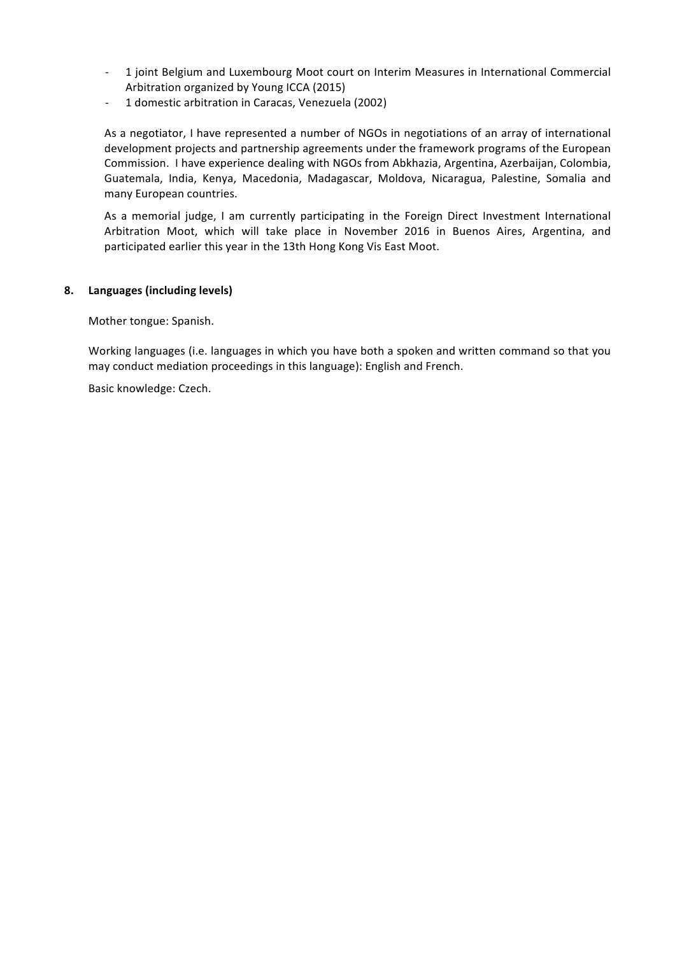- 1 joint Belgium and Luxembourg Moot court on Interim Measures in International Commercial Arbitration organized by Young ICCA (2015)
- 1 domestic arbitration in Caracas, Venezuela (2002)

As a negotiator, I have represented a number of NGOs in negotiations of an array of international development projects and partnership agreements under the framework programs of the European Commission. I have experience dealing with NGOs from Abkhazia, Argentina, Azerbaijan, Colombia, Guatemala, India, Kenya, Macedonia, Madagascar, Moldova, Nicaragua, Palestine, Somalia and many European countries.

As a memorial judge, I am currently participating in the Foreign Direct Investment International Arbitration Moot, which will take place in November 2016 in Buenos Aires, Argentina, and participated earlier this year in the 13th Hong Kong Vis East Moot.

# **8. Languages (including levels)**

Mother tongue: Spanish.

Working languages (i.e. languages in which you have both a spoken and written command so that you may conduct mediation proceedings in this language): English and French.

Basic knowledge: Czech.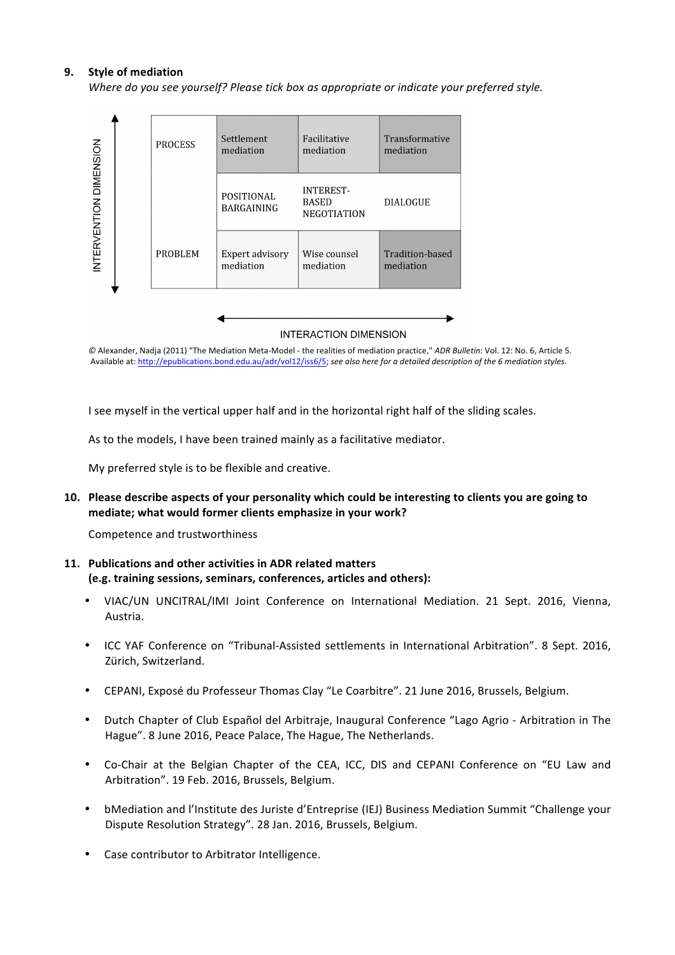# **9.** Style of mediation

*Where do you see yourself? Please tick box as appropriate or indicate your preferred style.* 



**INTERACTION DIMENSION** 

 $@$  Alexander, Nadja (2011) "The Mediation Meta-Model - the realities of mediation practice," *ADR Bulletin*: Vol. 12: No. 6, Article 5. Available at: http://epublications.bond.edu.au/adr/vol12/iss6/5; see also here for a detailed description of the 6 mediation styles.

I see myself in the vertical upper half and in the horizontal right half of the sliding scales.

As to the models, I have been trained mainly as a facilitative mediator.

My preferred style is to be flexible and creative.

**10.** Please describe aspects of your personality which could be interesting to clients you are going to **mediate;** what would former clients emphasize in your work?

Competence and trustworthiness

# 11. Publications and other activities in ADR related matters (e.g. training sessions, seminars, conferences, articles and others):

- VIAC/UN UNCITRAL/IMI Joint Conference on International Mediation. 21 Sept. 2016, Vienna, Austria.
- ICC YAF Conference on "Tribunal-Assisted settlements in International Arbitration". 8 Sept. 2016. Zürich, Switzerland.
- CEPANI, Exposé du Professeur Thomas Clay "Le Coarbitre". 21 June 2016, Brussels, Belgium.
- Dutch Chapter of Club Español del Arbitraje, Inaugural Conference "Lago Agrio Arbitration in The Hague". 8 June 2016, Peace Palace, The Hague, The Netherlands.
- Co-Chair at the Belgian Chapter of the CEA, ICC, DIS and CEPANI Conference on "EU Law and Arbitration". 19 Feb. 2016, Brussels, Belgium.
- bMediation and l'Institute des Juriste d'Entreprise (IEJ) Business Mediation Summit "Challenge your Dispute Resolution Strategy". 28 Jan. 2016, Brussels, Belgium.
- Case contributor to Arbitrator Intelligence.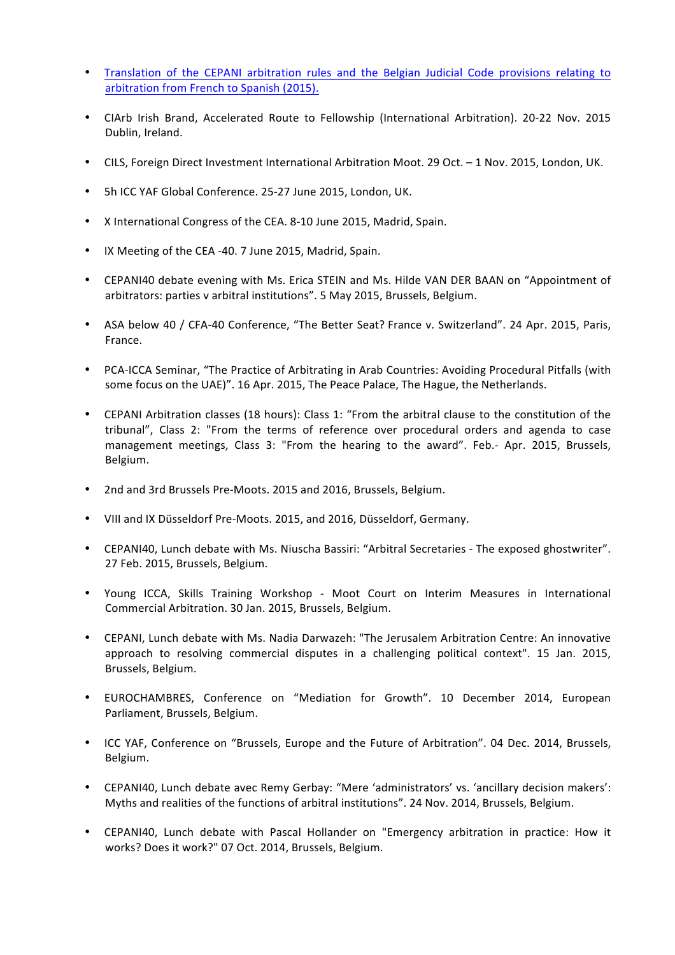- Translation of the CEPANI arbitration rules and the Belgian Judicial Code provisions relating to arbitration from French to Spanish (2015).
- CIArb Irish Brand, Accelerated Route to Fellowship (International Arbitration). 20-22 Nov. 2015 Dublin, Ireland.
- CILS, Foreign Direct Investment International Arbitration Moot. 29 Oct. 1 Nov. 2015, London, UK.
- 5h ICC YAF Global Conference. 25-27 June 2015, London, UK.
- X International Congress of the CEA. 8-10 June 2015, Madrid, Spain.
- IX Meeting of the CEA -40. 7 June 2015, Madrid, Spain.
- CEPANI40 debate evening with Ms. Erica STEIN and Ms. Hilde VAN DER BAAN on "Appointment of arbitrators: parties v arbitral institutions". 5 May 2015, Brussels, Belgium.
- ASA below 40 / CFA-40 Conference, "The Better Seat? France v. Switzerland". 24 Apr. 2015, Paris, France.
- PCA-ICCA Seminar, "The Practice of Arbitrating in Arab Countries: Avoiding Procedural Pitfalls (with some focus on the UAE)". 16 Apr. 2015. The Peace Palace. The Hague, the Netherlands.
- CEPANI Arbitration classes (18 hours): Class 1: "From the arbitral clause to the constitution of the tribunal", Class 2: "From the terms of reference over procedural orders and agenda to case management meetings, Class 3: "From the hearing to the award". Feb.- Apr. 2015, Brussels, Belgium.
- 2nd and 3rd Brussels Pre-Moots. 2015 and 2016, Brussels, Belgium.
- VIII and IX Düsseldorf Pre-Moots. 2015, and 2016, Düsseldorf, Germany.
- CEPANI40, Lunch debate with Ms. Niuscha Bassiri: "Arbitral Secretaries The exposed ghostwriter". 27 Feb. 2015, Brussels, Belgium.
- Young ICCA, Skills Training Workshop Moot Court on Interim Measures in International Commercial Arbitration. 30 Jan. 2015, Brussels, Belgium.
- CEPANI, Lunch debate with Ms. Nadia Darwazeh: "The Jerusalem Arbitration Centre: An innovative approach to resolving commercial disputes in a challenging political context". 15 Jan. 2015, Brussels, Belgium.
- EUROCHAMBRES, Conference on "Mediation for Growth". 10 December 2014, European Parliament, Brussels, Belgium.
- ICC YAF, Conference on "Brussels, Europe and the Future of Arbitration". 04 Dec. 2014, Brussels, Belgium.
- CEPANI40, Lunch debate avec Remy Gerbay: "Mere 'administrators' vs. 'ancillary decision makers': Myths and realities of the functions of arbitral institutions". 24 Nov. 2014, Brussels, Belgium.
- CEPANI40, Lunch debate with Pascal Hollander on "Emergency arbitration in practice: How it works? Does it work?" 07 Oct. 2014, Brussels, Belgium.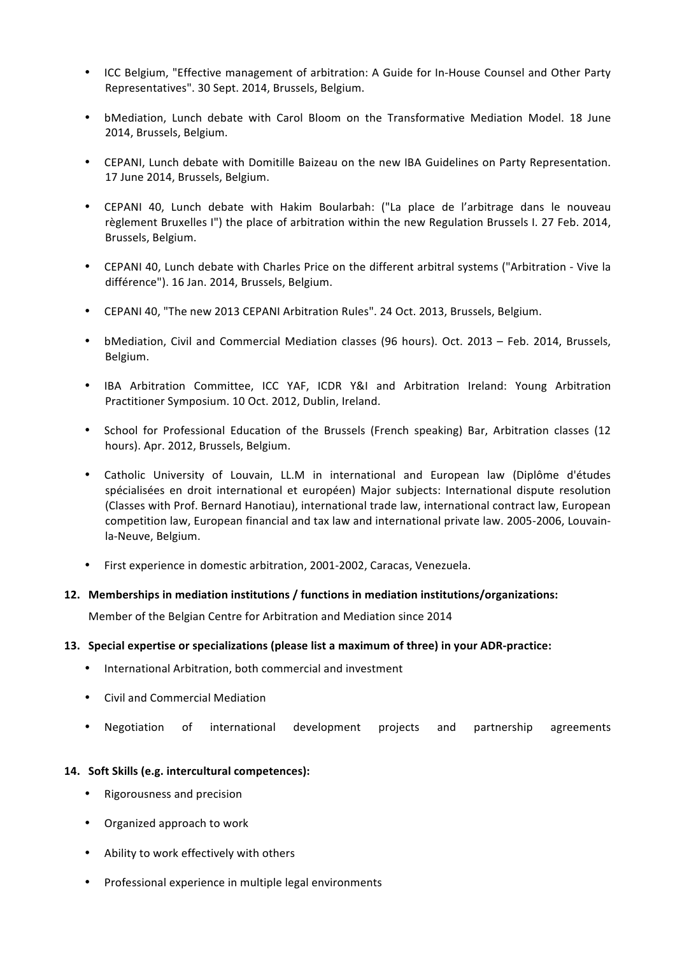- ICC Belgium, "Effective management of arbitration: A Guide for In-House Counsel and Other Party Representatives". 30 Sept. 2014, Brussels, Belgium.
- bMediation, Lunch debate with Carol Bloom on the Transformative Mediation Model. 18 June 2014, Brussels, Belgium.
- CEPANI, Lunch debate with Domitille Baizeau on the new IBA Guidelines on Party Representation. 17 June 2014, Brussels, Belgium.
- CEPANI 40, Lunch debate with Hakim Boularbah: ("La place de l'arbitrage dans le nouveau règlement Bruxelles I") the place of arbitration within the new Regulation Brussels I. 27 Feb. 2014, Brussels, Belgium.
- CEPANI 40, Lunch debate with Charles Price on the different arbitral systems ("Arbitration Vive la différence"). 16 Jan. 2014, Brussels, Belgium.
- CEPANI 40, "The new 2013 CEPANI Arbitration Rules". 24 Oct. 2013, Brussels, Belgium.
- bMediation, Civil and Commercial Mediation classes (96 hours). Oct. 2013 Feb. 2014, Brussels, Belgium.
- IBA Arbitration Committee, ICC YAF, ICDR Y&I and Arbitration Ireland: Young Arbitration Practitioner Symposium. 10 Oct. 2012, Dublin, Ireland.
- School for Professional Education of the Brussels (French speaking) Bar, Arbitration classes (12 hours). Apr. 2012, Brussels, Belgium.
- Catholic University of Louvain, LL.M in international and European law (Diplôme d'études spécialisées en droit international et européen) Major subjects: International dispute resolution (Classes with Prof. Bernard Hanotiau), international trade law, international contract law, European competition law, European financial and tax law and international private law. 2005-2006, Louvainla-Neuve, Belgium.
- First experience in domestic arbitration, 2001-2002, Caracas, Venezuela.

# **12. Memberships in mediation institutions / functions in mediation institutions/organizations:**

Member of the Belgian Centre for Arbitration and Mediation since 2014

# **13.** Special expertise or specializations (please list a maximum of three) in your ADR-practice:

- International Arbitration, both commercial and investment
- Civil and Commercial Mediation
- Negotiation of international development projects and partnership agreements

# 14. Soft Skills (e.g. intercultural competences):

- Rigorousness and precision
- Organized approach to work
- Ability to work effectively with others
- Professional experience in multiple legal environments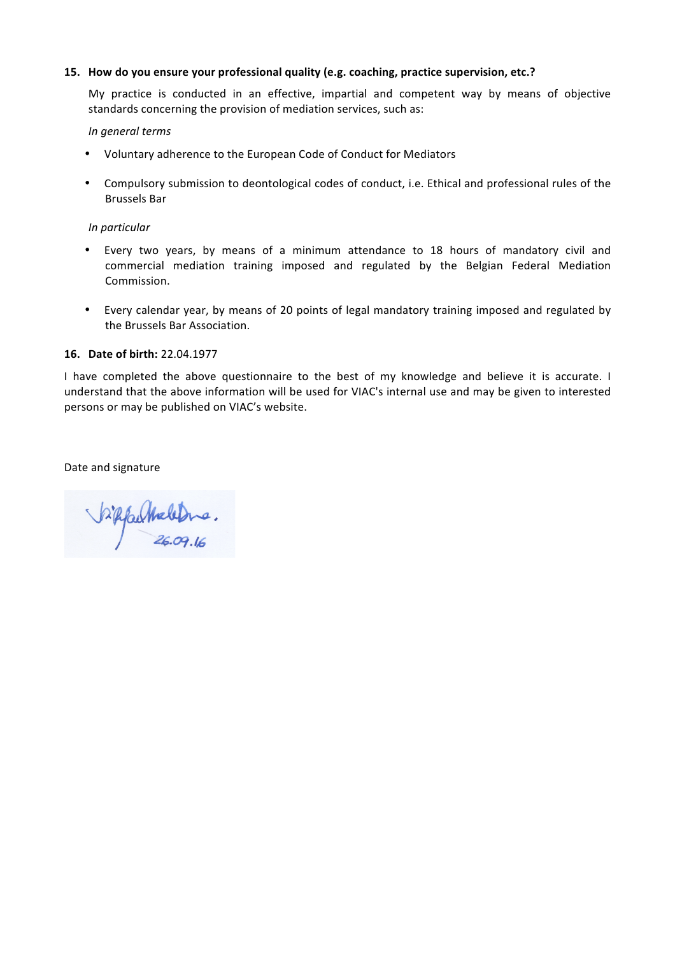# **15. How do you ensure your professional quality (e.g. coaching, practice supervision, etc.?**

My practice is conducted in an effective, impartial and competent way by means of objective standards concerning the provision of mediation services, such as:

#### *In general terms*

- Voluntary adherence to the European Code of Conduct for Mediators
- Compulsory submission to deontological codes of conduct, i.e. Ethical and professional rules of the Brussels Bar

#### *In particular*

- Every two years, by means of a minimum attendance to 18 hours of mandatory civil and commercial mediation training imposed and regulated by the Belgian Federal Mediation Commission.
- Every calendar year, by means of 20 points of legal mandatory training imposed and regulated by the Brussels Bar Association.

#### **16. Date of birth:** 22.04.1977

I have completed the above questionnaire to the best of my knowledge and believe it is accurate. I understand that the above information will be used for VIAC's internal use and may be given to interested persons or may be published on VIAC's website.

Date and signature

hipfaultheletine.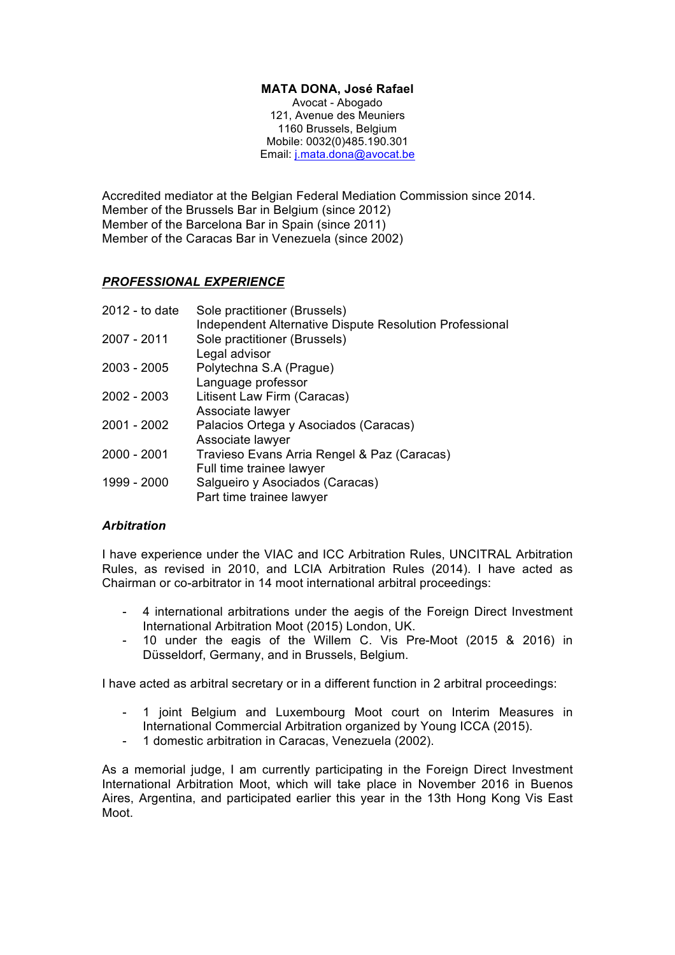# **MATA DONA, José Rafael**

Avocat - Abogado 121, Avenue des Meuniers 1160 Brussels, Belgium Mobile: 0032(0)485.190.301 Email: j.mata.dona@avocat.be

Accredited mediator at the Belgian Federal Mediation Commission since 2014. Member of the Brussels Bar in Belgium (since 2012) Member of the Barcelona Bar in Spain (since 2011) Member of the Caracas Bar in Venezuela (since 2002)

# *PROFESSIONAL EXPERIENCE*

| 2012 - to date | Sole practitioner (Brussels)                            |
|----------------|---------------------------------------------------------|
|                | Independent Alternative Dispute Resolution Professional |
| 2007 - 2011    | Sole practitioner (Brussels)                            |
|                | Legal advisor                                           |
| $2003 - 2005$  | Polytechna S.A (Prague)                                 |
|                | Language professor                                      |
| $2002 - 2003$  | Litisent Law Firm (Caracas)                             |
|                | Associate lawyer                                        |
| 2001 - 2002    | Palacios Ortega y Asociados (Caracas)                   |
|                | Associate lawyer                                        |
| 2000 - 2001    | Travieso Evans Arria Rengel & Paz (Caracas)             |
|                | Full time trainee lawyer                                |
| 1999 - 2000    | Salgueiro y Asociados (Caracas)                         |
|                | Part time trainee lawyer                                |

# *Arbitration*

I have experience under the VIAC and ICC Arbitration Rules, UNCITRAL Arbitration Rules, as revised in 2010, and LCIA Arbitration Rules (2014). I have acted as Chairman or co-arbitrator in 14 moot international arbitral proceedings:

- 4 international arbitrations under the aegis of the Foreign Direct Investment International Arbitration Moot (2015) London, UK.
- 10 under the eagis of the Willem C. Vis Pre-Moot (2015 & 2016) in Düsseldorf, Germany, and in Brussels, Belgium.

I have acted as arbitral secretary or in a different function in 2 arbitral proceedings:

- 1 joint Belgium and Luxembourg Moot court on Interim Measures in International Commercial Arbitration organized by Young ICCA (2015).
- 1 domestic arbitration in Caracas, Venezuela (2002).

As a memorial judge, I am currently participating in the Foreign Direct Investment International Arbitration Moot, which will take place in November 2016 in Buenos Aires, Argentina, and participated earlier this year in the 13th Hong Kong Vis East Moot.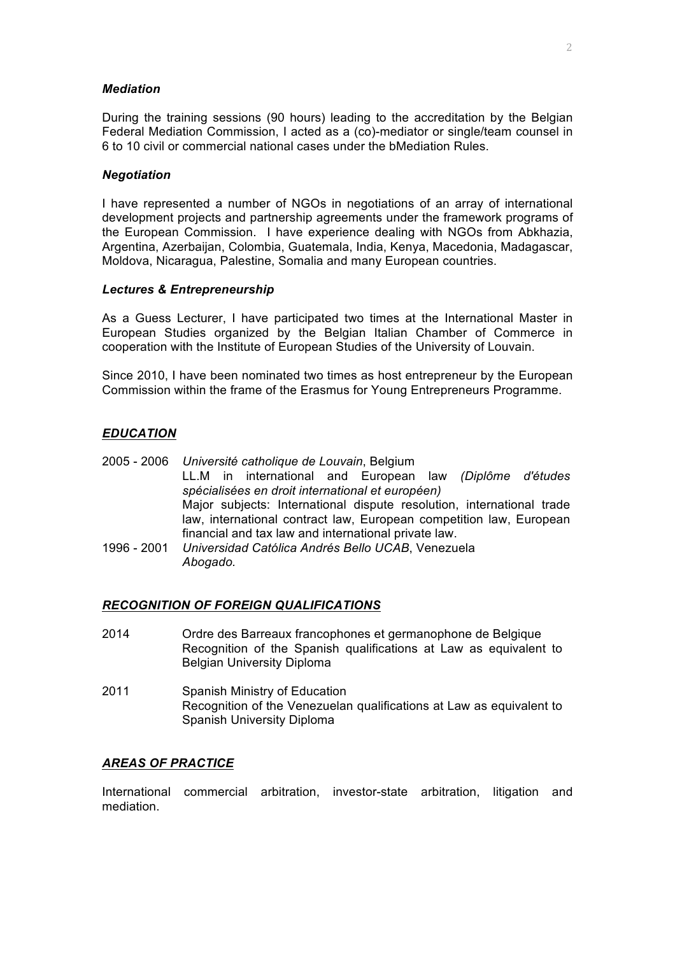#### *Mediation*

During the training sessions (90 hours) leading to the accreditation by the Belgian Federal Mediation Commission, I acted as a (co)-mediator or single/team counsel in 6 to 10 civil or commercial national cases under the bMediation Rules.

#### *Negotiation*

I have represented a number of NGOs in negotiations of an array of international development projects and partnership agreements under the framework programs of the European Commission. I have experience dealing with NGOs from Abkhazia, Argentina, Azerbaijan, Colombia, Guatemala, India, Kenya, Macedonia, Madagascar, Moldova, Nicaragua, Palestine, Somalia and many European countries.

#### *Lectures & Entrepreneurship*

As a Guess Lecturer, I have participated two times at the International Master in European Studies organized by the Belgian Italian Chamber of Commerce in cooperation with the Institute of European Studies of the University of Louvain.

Since 2010, I have been nominated two times as host entrepreneur by the European Commission within the frame of the Erasmus for Young Entrepreneurs Programme.

# *EDUCATION*

2005 - 2006 *Université catholique de Louvain*, Belgium LL.M in international and European law *(Diplôme d'études spécialisées en droit international et européen)* Major subjects: International dispute resolution, international trade law, international contract law, European competition law, European financial and tax law and international private law. 1996 - 2001 *Universidad Católica Andrés Bello UCAB*, Venezuela *Abogado.*

# *RECOGNITION OF FOREIGN QUALIFICATIONS*

- 2014 Ordre des Barreaux francophones et germanophone de Belgique Recognition of the Spanish qualifications at Law as equivalent to Belgian University Diploma
- 2011 Spanish Ministry of Education Recognition of the Venezuelan qualifications at Law as equivalent to Spanish University Diploma

# *AREAS OF PRACTICE*

International commercial arbitration, investor-state arbitration, litigation and mediation.